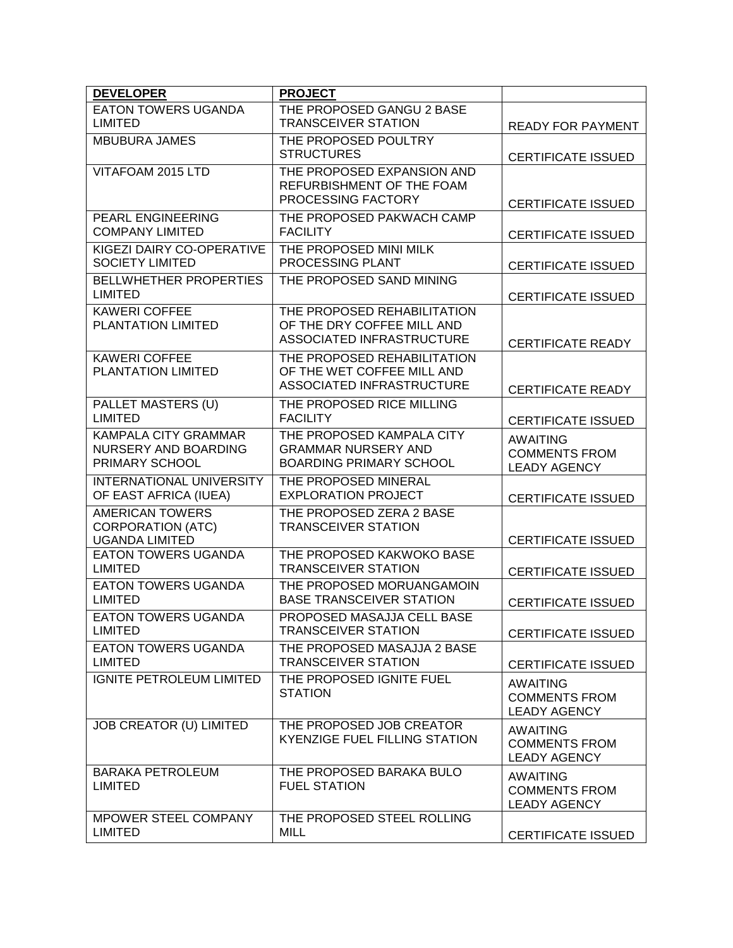| <b>DEVELOPER</b>                                    | <b>PROJECT</b>                                                   |                                             |
|-----------------------------------------------------|------------------------------------------------------------------|---------------------------------------------|
| <b>EATON TOWERS UGANDA</b>                          | THE PROPOSED GANGU 2 BASE                                        |                                             |
| LIMITED<br><b>MBUBURA JAMES</b>                     | <b>TRANSCEIVER STATION</b><br>THE PROPOSED POULTRY               | <b>READY FOR PAYMENT</b>                    |
|                                                     | <b>STRUCTURES</b>                                                | <b>CERTIFICATE ISSUED</b>                   |
| VITAFOAM 2015 LTD                                   | THE PROPOSED EXPANSION AND                                       |                                             |
|                                                     | REFURBISHMENT OF THE FOAM<br>PROCESSING FACTORY                  | <b>CERTIFICATE ISSUED</b>                   |
| PEARL ENGINEERING                                   | THE PROPOSED PAKWACH CAMP                                        |                                             |
| <b>COMPANY LIMITED</b>                              | <b>FACILITY</b>                                                  | <b>CERTIFICATE ISSUED</b>                   |
| KIGEZI DAIRY CO-OPERATIVE<br><b>SOCIETY LIMITED</b> | THE PROPOSED MINI MILK<br>PROCESSING PLANT                       | <b>CERTIFICATE ISSUED</b>                   |
| <b>BELLWHETHER PROPERTIES</b><br><b>LIMITED</b>     | THE PROPOSED SAND MINING                                         | <b>CERTIFICATE ISSUED</b>                   |
| <b>KAWERI COFFEE</b>                                | THE PROPOSED REHABILITATION                                      |                                             |
| PLANTATION LIMITED                                  | OF THE DRY COFFEE MILL AND                                       |                                             |
|                                                     | ASSOCIATED INFRASTRUCTURE                                        | <b>CERTIFICATE READY</b>                    |
| <b>KAWERI COFFEE</b><br>PLANTATION LIMITED          | THE PROPOSED REHABILITATION<br>OF THE WET COFFEE MILL AND        |                                             |
|                                                     | ASSOCIATED INFRASTRUCTURE                                        | <b>CERTIFICATE READY</b>                    |
| PALLET MASTERS (U)                                  | THE PROPOSED RICE MILLING                                        |                                             |
| <b>LIMITED</b>                                      | <b>FACILITY</b>                                                  | <b>CERTIFICATE ISSUED</b>                   |
| <b>KAMPALA CITY GRAMMAR</b>                         | THE PROPOSED KAMPALA CITY                                        | <b>AWAITING</b>                             |
| NURSERY AND BOARDING<br>PRIMARY SCHOOL              | <b>GRAMMAR NURSERY AND</b><br><b>BOARDING PRIMARY SCHOOL</b>     | <b>COMMENTS FROM</b>                        |
| <b>INTERNATIONAL UNIVERSITY</b>                     | THE PROPOSED MINERAL                                             | <b>LEADY AGENCY</b>                         |
| OF EAST AFRICA (IUEA)                               | <b>EXPLORATION PROJECT</b>                                       | <b>CERTIFICATE ISSUED</b>                   |
| <b>AMERICAN TOWERS</b>                              | THE PROPOSED ZERA 2 BASE                                         |                                             |
| <b>CORPORATION (ATC)</b><br><b>UGANDA LIMITED</b>   | <b>TRANSCEIVER STATION</b>                                       | <b>CERTIFICATE ISSUED</b>                   |
| <b>EATON TOWERS UGANDA</b>                          | THE PROPOSED KAKWOKO BASE                                        |                                             |
| <b>LIMITED</b>                                      | <b>TRANSCEIVER STATION</b>                                       | <b>CERTIFICATE ISSUED</b>                   |
| <b>EATON TOWERS UGANDA</b><br><b>LIMITED</b>        | THE PROPOSED MORUANGAMOIN<br><b>BASE TRANSCEIVER STATION</b>     | <b>CERTIFICATE ISSUED</b>                   |
| <b>EATON TOWERS UGANDA</b>                          | PROPOSED MASAJJA CELL BASE                                       |                                             |
| <b>LIMITED</b>                                      | <b>TRANSCEIVER STATION</b>                                       | <b>CERTIFICATE ISSUED</b>                   |
| <b>EATON TOWERS UGANDA</b><br><b>LIMITED</b>        | THE PROPOSED MASAJJA 2 BASE<br><b>TRANSCEIVER STATION</b>        |                                             |
| <b>IGNITE PETROLEUM LIMITED</b>                     | THE PROPOSED IGNITE FUEL                                         | <b>CERTIFICATE ISSUED</b>                   |
|                                                     | <b>STATION</b>                                                   | <b>AWAITING</b><br><b>COMMENTS FROM</b>     |
|                                                     |                                                                  | <b>LEADY AGENCY</b>                         |
| JOB CREATOR (U) LIMITED                             | THE PROPOSED JOB CREATOR<br><b>KYENZIGE FUEL FILLING STATION</b> | <b>AWAITING</b>                             |
|                                                     |                                                                  | <b>COMMENTS FROM</b><br><b>LEADY AGENCY</b> |
| <b>BARAKA PETROLEUM</b>                             | THE PROPOSED BARAKA BULO                                         | <b>AWAITING</b>                             |
| <b>LIMITED</b>                                      | <b>FUEL STATION</b>                                              | <b>COMMENTS FROM</b>                        |
|                                                     |                                                                  | <b>LEADY AGENCY</b>                         |
| MPOWER STEEL COMPANY<br><b>LIMITED</b>              | THE PROPOSED STEEL ROLLING<br>MILL                               |                                             |
|                                                     |                                                                  | <b>CERTIFICATE ISSUED</b>                   |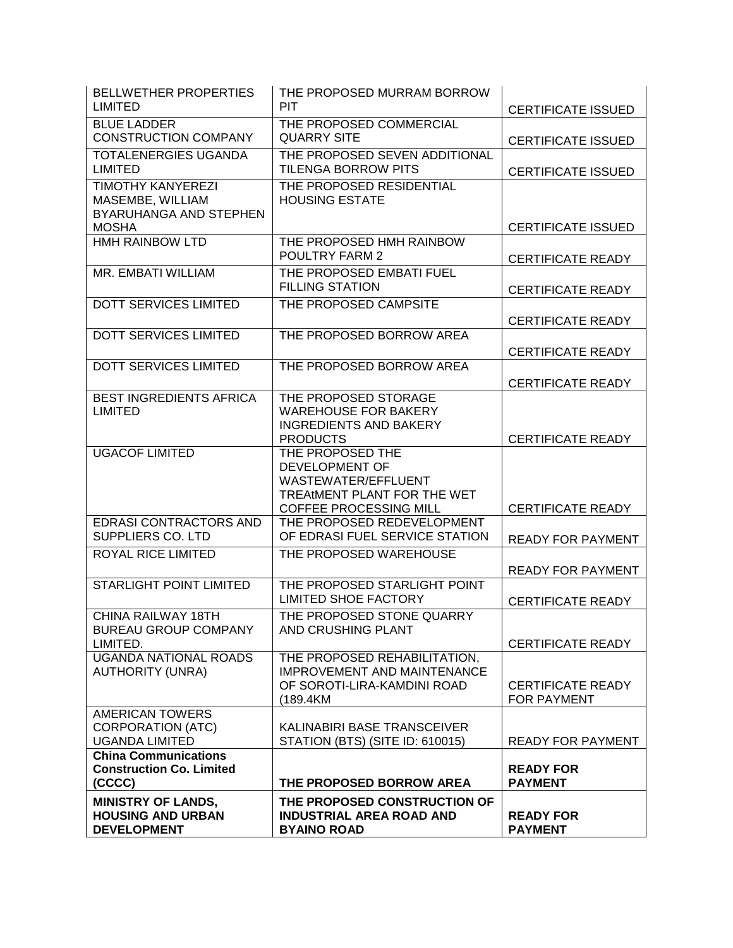| <b>BELLWETHER PROPERTIES</b><br><b>LIMITED</b>                                         | THE PROPOSED MURRAM BORROW<br><b>PIT</b>                                                                                  | <b>CERTIFICATE ISSUED</b>               |
|----------------------------------------------------------------------------------------|---------------------------------------------------------------------------------------------------------------------------|-----------------------------------------|
| <b>BLUE LADDER</b><br><b>CONSTRUCTION COMPANY</b>                                      | THE PROPOSED COMMERCIAL<br><b>QUARRY SITE</b>                                                                             | <b>CERTIFICATE ISSUED</b>               |
| TOTALENERGIES UGANDA<br><b>LIMITED</b>                                                 | THE PROPOSED SEVEN ADDITIONAL<br><b>TILENGA BORROW PITS</b>                                                               | <b>CERTIFICATE ISSUED</b>               |
| <b>TIMOTHY KANYEREZI</b><br>MASEMBE, WILLIAM<br>BYARUHANGA AND STEPHEN<br><b>MOSHA</b> | THE PROPOSED RESIDENTIAL<br><b>HOUSING ESTATE</b>                                                                         | <b>CERTIFICATE ISSUED</b>               |
| <b>HMH RAINBOW LTD</b>                                                                 | THE PROPOSED HMH RAINBOW<br><b>POULTRY FARM 2</b>                                                                         | <b>CERTIFICATE READY</b>                |
| MR. EMBATI WILLIAM                                                                     | THE PROPOSED EMBATI FUEL<br><b>FILLING STATION</b>                                                                        | <b>CERTIFICATE READY</b>                |
| <b>DOTT SERVICES LIMITED</b>                                                           | THE PROPOSED CAMPSITE                                                                                                     | <b>CERTIFICATE READY</b>                |
| DOTT SERVICES LIMITED                                                                  | THE PROPOSED BORROW AREA                                                                                                  | <b>CERTIFICATE READY</b>                |
| <b>DOTT SERVICES LIMITED</b>                                                           | THE PROPOSED BORROW AREA                                                                                                  | <b>CERTIFICATE READY</b>                |
| <b>BEST INGREDIENTS AFRICA</b><br><b>LIMITED</b>                                       | THE PROPOSED STORAGE<br><b>WAREHOUSE FOR BAKERY</b><br><b>INGREDIENTS AND BAKERY</b><br><b>PRODUCTS</b>                   | <b>CERTIFICATE READY</b>                |
| <b>UGACOF LIMITED</b>                                                                  | THE PROPOSED THE<br>DEVELOPMENT OF<br>WASTEWATER/EFFLUENT<br>TREAtMENT PLANT FOR THE WET<br><b>COFFEE PROCESSING MILL</b> | <b>CERTIFICATE READY</b>                |
| <b>EDRASI CONTRACTORS AND</b><br>SUPPLIERS CO. LTD                                     | THE PROPOSED REDEVELOPMENT<br>OF EDRASI FUEL SERVICE STATION                                                              | <b>READY FOR PAYMENT</b>                |
| ROYAL RICE LIMITED                                                                     | THE PROPOSED WAREHOUSE                                                                                                    | <b>READY FOR PAYMENT</b>                |
| <b>STARLIGHT POINT LIMITED</b>                                                         | THE PROPOSED STARLIGHT POINT<br><b>LIMITED SHOE FACTORY</b>                                                               | <b>CERTIFICATE READY</b>                |
| CHINA RAILWAY 18TH<br><b>BUREAU GROUP COMPANY</b><br>LIMITED.                          | THE PROPOSED STONE QUARRY<br>AND CRUSHING PLANT                                                                           | <b>CERTIFICATE READY</b>                |
| <b>UGANDA NATIONAL ROADS</b><br><b>AUTHORITY (UNRA)</b>                                | THE PROPOSED REHABILITATION,<br><b>IMPROVEMENT AND MAINTENANCE</b><br>OF SOROTI-LIRA-KAMDINI ROAD<br>(189.4KM             | <b>CERTIFICATE READY</b><br>FOR PAYMENT |
| <b>AMERICAN TOWERS</b><br><b>CORPORATION (ATC)</b><br><b>UGANDA LIMITED</b>            | KALINABIRI BASE TRANSCEIVER<br>STATION (BTS) (SITE ID: 610015)                                                            | <b>READY FOR PAYMENT</b>                |
| <b>China Communications</b><br><b>Construction Co. Limited</b><br>(CCCC)               | THE PROPOSED BORROW AREA                                                                                                  | <b>READY FOR</b><br><b>PAYMENT</b>      |
| <b>MINISTRY OF LANDS,</b><br><b>HOUSING AND URBAN</b><br><b>DEVELOPMENT</b>            | THE PROPOSED CONSTRUCTION OF<br><b>INDUSTRIAL AREA ROAD AND</b><br><b>BYAINO ROAD</b>                                     | <b>READY FOR</b><br><b>PAYMENT</b>      |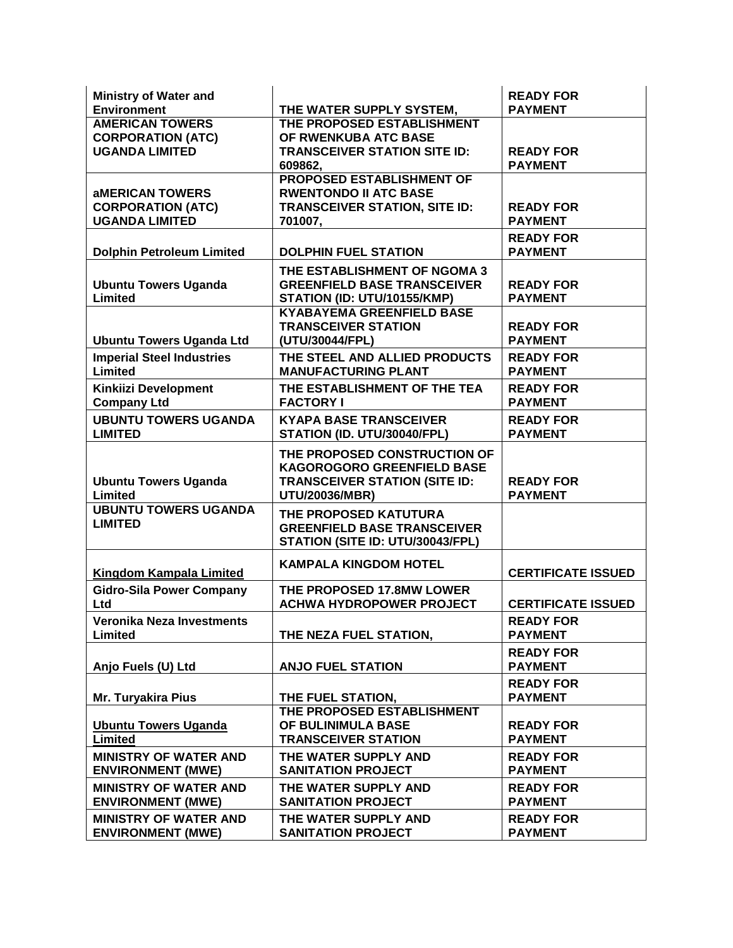| <b>Ministry of Water and</b>                      |                                                        | <b>READY FOR</b>          |
|---------------------------------------------------|--------------------------------------------------------|---------------------------|
| <b>Environment</b>                                | THE WATER SUPPLY SYSTEM,<br>THE PROPOSED ESTABLISHMENT | <b>PAYMENT</b>            |
| <b>AMERICAN TOWERS</b>                            | OF RWENKUBA ATC BASE                                   |                           |
| <b>CORPORATION (ATC)</b><br><b>UGANDA LIMITED</b> | <b>TRANSCEIVER STATION SITE ID:</b>                    | <b>READY FOR</b>          |
|                                                   | 609862,                                                | <b>PAYMENT</b>            |
|                                                   | <b>PROPOSED ESTABLISHMENT OF</b>                       |                           |
| <b><i>AMERICAN TOWERS</i></b>                     | <b>RWENTONDO II ATC BASE</b>                           |                           |
| <b>CORPORATION (ATC)</b>                          | <b>TRANSCEIVER STATION, SITE ID:</b>                   | <b>READY FOR</b>          |
| <b>UGANDA LIMITED</b>                             | 701007,                                                | <b>PAYMENT</b>            |
|                                                   |                                                        |                           |
|                                                   |                                                        | <b>READY FOR</b>          |
| <b>Dolphin Petroleum Limited</b>                  | <b>DOLPHIN FUEL STATION</b>                            | <b>PAYMENT</b>            |
|                                                   | THE ESTABLISHMENT OF NGOMA 3                           |                           |
| <b>Ubuntu Towers Uganda</b>                       | <b>GREENFIELD BASE TRANSCEIVER</b>                     | <b>READY FOR</b>          |
| Limited                                           | STATION (ID: UTU/10155/KMP)                            | <b>PAYMENT</b>            |
|                                                   | <b>KYABAYEMA GREENFIELD BASE</b>                       |                           |
|                                                   | <b>TRANSCEIVER STATION</b>                             | <b>READY FOR</b>          |
| <b>Ubuntu Towers Uganda Ltd</b>                   | (UTU/30044/FPL)                                        | <b>PAYMENT</b>            |
| <b>Imperial Steel Industries</b>                  | THE STEEL AND ALLIED PRODUCTS                          | <b>READY FOR</b>          |
| Limited                                           | <b>MANUFACTURING PLANT</b>                             | <b>PAYMENT</b>            |
| Kinkiizi Development                              | THE ESTABLISHMENT OF THE TEA                           | <b>READY FOR</b>          |
| <b>Company Ltd</b>                                | <b>FACTORY I</b>                                       | <b>PAYMENT</b>            |
| <b>UBUNTU TOWERS UGANDA</b>                       | <b>KYAPA BASE TRANSCEIVER</b>                          | <b>READY FOR</b>          |
| <b>LIMITED</b>                                    | STATION (ID. UTU/30040/FPL)                            | <b>PAYMENT</b>            |
|                                                   |                                                        |                           |
|                                                   | THE PROPOSED CONSTRUCTION OF                           |                           |
|                                                   | KAGOROGORO GREENFIELD BASE                             |                           |
| <b>Ubuntu Towers Uganda</b>                       | <b>TRANSCEIVER STATION (SITE ID:</b>                   | <b>READY FOR</b>          |
| Limited<br><b>UBUNTU TOWERS UGANDA</b>            | UTU/20036/MBR)                                         | <b>PAYMENT</b>            |
|                                                   | THE PROPOSED KATUTURA                                  |                           |
| <b>LIMITED</b>                                    | <b>GREENFIELD BASE TRANSCEIVER</b>                     |                           |
|                                                   | STATION (SITE ID: UTU/30043/FPL)                       |                           |
|                                                   | <b>KAMPALA KINGDOM HOTEL</b>                           |                           |
| Kingdom Kampala Limited                           |                                                        | <b>CERTIFICATE ISSUED</b> |
| <b>Gidro-Sila Power Company</b>                   | THE PROPOSED 17.8MW LOWER                              |                           |
| Ltd                                               | <b>ACHWA HYDROPOWER PROJECT</b>                        | <b>CERTIFICATE ISSUED</b> |
| Veronika Neza Investments                         |                                                        | <b>READY FOR</b>          |
| <b>Limited</b>                                    | THE NEZA FUEL STATION,                                 | <b>PAYMENT</b>            |
|                                                   |                                                        | <b>READY FOR</b>          |
| Anjo Fuels (U) Ltd                                | <b>ANJO FUEL STATION</b>                               | <b>PAYMENT</b>            |
|                                                   |                                                        | <b>READY FOR</b>          |
| <b>Mr. Turyakira Pius</b>                         | THE FUEL STATION,                                      | <b>PAYMENT</b>            |
|                                                   | THE PROPOSED ESTABLISHMENT                             |                           |
| <b>Ubuntu Towers Uganda</b>                       | OF BULINIMULA BASE                                     | <b>READY FOR</b>          |
| Limited                                           | <b>TRANSCEIVER STATION</b>                             | <b>PAYMENT</b>            |
| <b>MINISTRY OF WATER AND</b>                      | THE WATER SUPPLY AND                                   | <b>READY FOR</b>          |
|                                                   |                                                        | <b>PAYMENT</b>            |
| <b>ENVIRONMENT (MWE)</b>                          | <b>SANITATION PROJECT</b>                              |                           |
| <b>MINISTRY OF WATER AND</b>                      | THE WATER SUPPLY AND                                   | <b>READY FOR</b>          |
| <b>ENVIRONMENT (MWE)</b>                          | <b>SANITATION PROJECT</b>                              | <b>PAYMENT</b>            |
| <b>MINISTRY OF WATER AND</b>                      | THE WATER SUPPLY AND                                   | <b>READY FOR</b>          |
| <b>ENVIRONMENT (MWE)</b>                          | <b>SANITATION PROJECT</b>                              | <b>PAYMENT</b>            |